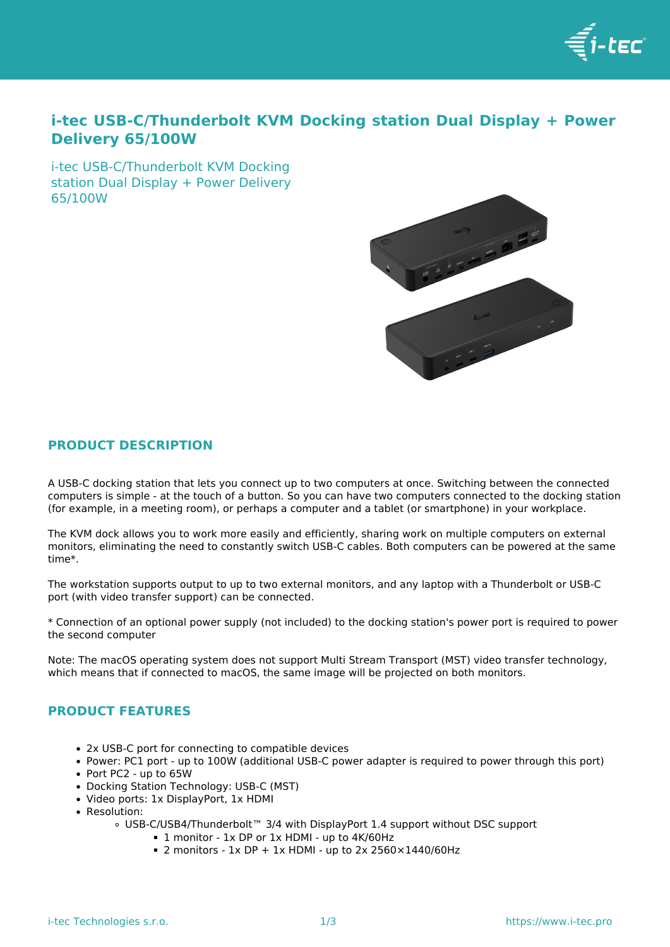

# **i-tec USB-C/Thunderbolt KVM Docking station Dual Display + Power Delivery 65/100W**

i-tec USB-C/Thunderbolt KVM Docking station Dual Display + Power Delivery 65/100W



# **PRODUCT DESCRIPTION**

A USB-C docking station that lets you connect up to two computers at once. Switching between the connected computers is simple - at the touch of a button. So you can have two computers connected to the docking station (for example, in a meeting room), or perhaps a computer and a tablet (or smartphone) in your workplace.

The KVM dock allows you to work more easily and efficiently, sharing work on multiple computers on external monitors, eliminating the need to constantly switch USB-C cables. Both computers can be powered at the same time\*.

The workstation supports output to up to two external monitors, and any laptop with a Thunderbolt or USB-C port (with video transfer support) can be connected.

\* Connection of an optional power supply (not included) to the docking station's power port is required to power the second computer

Note: The macOS operating system does not support Multi Stream Transport (MST) video transfer technology, which means that if connected to macOS, the same image will be projected on both monitors.

## **PRODUCT FEATURES**

- 2x USB-C port for connecting to compatible devices
- Power: PC1 port up to 100W (additional USB-C power adapter is required to power through this port)
- Port PC2 up to 65W
- Docking Station Technology: USB-C (MST)
- Video ports: 1x DisplayPort, 1x HDMI
- Resolution:
	- USB-C/USB4/Thunderbolt™ 3/4 with DisplayPort 1.4 support without DSC support
		- 1 monitor 1x DP or 1x HDMI up to 4K/60Hz
		- $\blacksquare$  2 monitors 1x DP + 1x HDMI up to 2x 2560×1440/60Hz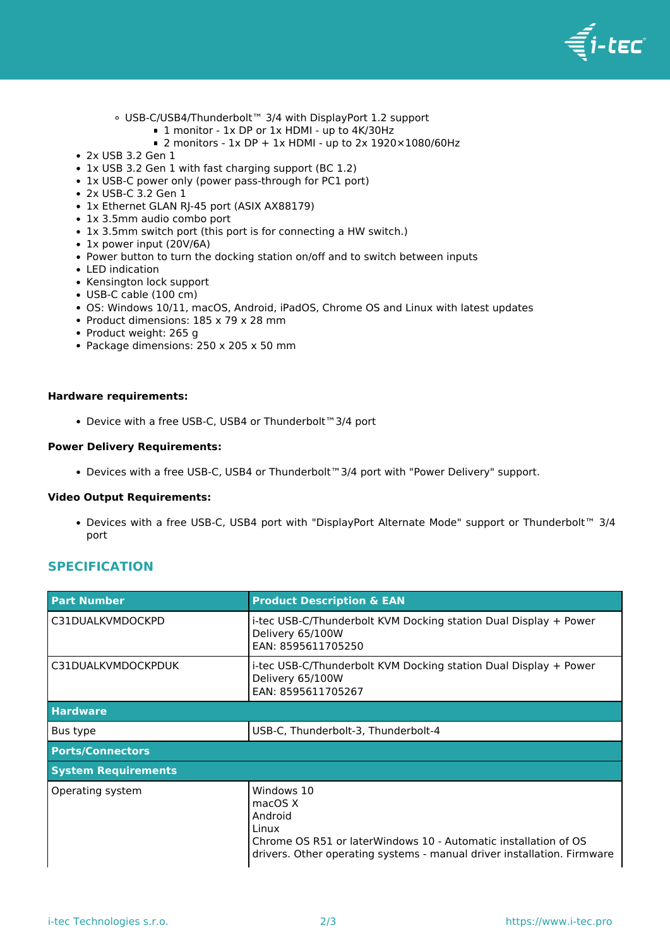

- USB-C/USB4/Thunderbolt™ 3/4 with DisplayPort 1.2 support
	- 1 monitor 1x DP or 1x HDMI up to 4K/30Hz
	- $\blacksquare$  2 monitors 1x DP + 1x HDMI up to 2x 1920×1080/60Hz
- 2x USB 3.2 Gen 1
- 1x USB 3.2 Gen 1 with fast charging support (BC 1.2)
- 1x USB-C power only (power pass-through for PC1 port)
- 2x USB-C 3.2 Gen 1
- 1x Ethernet GLAN RJ-45 port (ASIX AX88179)
- 1x 3.5mm audio combo port
- 1x 3.5mm switch port (this port is for connecting a HW switch.)
- 1x power input (20V/6A)
- Power button to turn the docking station on/off and to switch between inputs
- LED indication
- Kensington lock support
- USB-C cable (100 cm)
- OS: Windows 10/11, macOS, Android, iPadOS, Chrome OS and Linux with latest updates
- Product dimensions: 185 x 79 x 28 mm
- Product weight: 265 g
- Package dimensions: 250 x 205 x 50 mm

#### **Hardware requirements:**

Device with a free USB-C, USB4 or Thunderbolt™3/4 port

#### **Power Delivery Requirements:**

Devices with a free USB-C, USB4 or Thunderbolt™3/4 port with "Power Delivery" support.

#### **Video Output Requirements:**

Devices with a free USB-C, USB4 port with "DisplayPort Alternate Mode" support or Thunderbolt™ 3/4 port

### **SPECIFICATION**

| <b>Part Number</b>         | <b>Product Description &amp; EAN</b>                                                                                                                                                    |
|----------------------------|-----------------------------------------------------------------------------------------------------------------------------------------------------------------------------------------|
| C31DUALKVMDOCKPD           | i-tec USB-C/Thunderbolt KVM Docking station Dual Display + Power<br>Delivery 65/100W<br>EAN: 8595611705250                                                                              |
| C31DUALKVMDOCKPDUK         | i-tec USB-C/Thunderbolt KVM Docking station Dual Display + Power<br>Delivery 65/100W<br>EAN: 8595611705267                                                                              |
| <b>Hardware</b>            |                                                                                                                                                                                         |
| Bus type                   | USB-C, Thunderbolt-3, Thunderbolt-4                                                                                                                                                     |
| <b>Ports/Connectors</b>    |                                                                                                                                                                                         |
| <b>System Requirements</b> |                                                                                                                                                                                         |
| Operating system           | Windows 10<br>macOS X<br>Android<br>Linux<br>Chrome OS R51 or laterWindows 10 - Automatic installation of OS<br>drivers. Other operating systems - manual driver installation. Firmware |